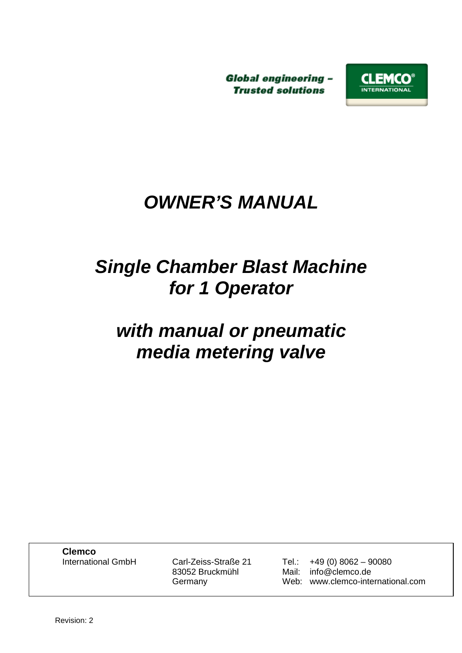**Global engineering -Trusted solutions** 



# *OWNER'S MANUAL*

# *Single Chamber Blast Machine for 1 Operator*

# *with manual or pneumatic media metering valve*

**Clemco**<br>International GmbH

Carl-Zeiss-Straße 21 Tel.: +49 (0) 8062 – 90080 83052 Bruckmühl Mail: info@clemco.de Germany Web: www.clemco-international.com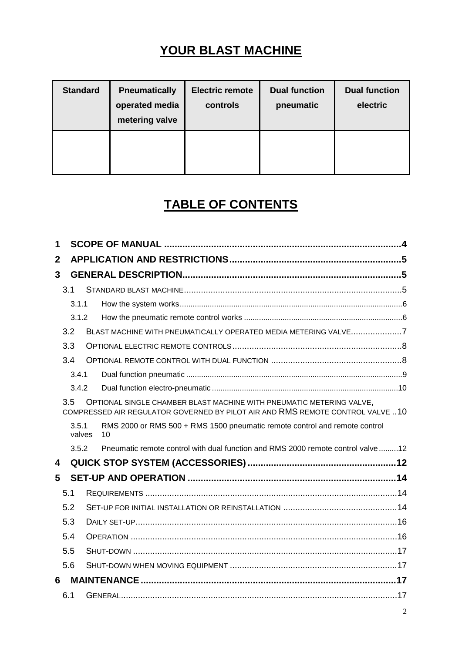# **YOUR BLAST MACHINE**

| <b>Standard</b> | <b>Pneumatically</b><br>operated media<br>metering valve | <b>Electric remote</b><br>controls | <b>Dual function</b><br>pneumatic | <b>Dual function</b><br>electric |
|-----------------|----------------------------------------------------------|------------------------------------|-----------------------------------|----------------------------------|
|                 |                                                          |                                    |                                   |                                  |

# **TABLE OF CONTENTS**

| 1            |       |        |                                                                                                                                                        |  |
|--------------|-------|--------|--------------------------------------------------------------------------------------------------------------------------------------------------------|--|
| $\mathbf{2}$ |       |        |                                                                                                                                                        |  |
| 3            |       |        |                                                                                                                                                        |  |
|              | 3.1   |        |                                                                                                                                                        |  |
|              | 3.1.1 |        |                                                                                                                                                        |  |
|              | 3.1.2 |        |                                                                                                                                                        |  |
|              | 3.2   |        | BLAST MACHINE WITH PNEUMATICALLY OPERATED MEDIA METERING VALVE7                                                                                        |  |
|              | 3.3   |        |                                                                                                                                                        |  |
|              | 3.4   |        |                                                                                                                                                        |  |
|              | 3.4.1 |        |                                                                                                                                                        |  |
|              | 3.4.2 |        |                                                                                                                                                        |  |
|              | 3.5   |        | OPTIONAL SINGLE CHAMBER BLAST MACHINE WITH PNEUMATIC METERING VALVE,<br>COMPRESSED AIR REGULATOR GOVERNED BY PILOT AIR AND RMS REMOTE CONTROL VALVE 10 |  |
|              |       |        |                                                                                                                                                        |  |
|              | 3.5.1 | valves | RMS 2000 or RMS 500 + RMS 1500 pneumatic remote control and remote control<br>10                                                                       |  |
|              | 3.5.2 |        | Pneumatic remote control with dual function and RMS 2000 remote control valve 12                                                                       |  |
| 4            |       |        |                                                                                                                                                        |  |
| 5            |       |        |                                                                                                                                                        |  |
|              | 5.1   |        |                                                                                                                                                        |  |
|              | 5.2   |        |                                                                                                                                                        |  |
|              | 5.3   |        |                                                                                                                                                        |  |
|              | 5.4   |        |                                                                                                                                                        |  |
|              | 5.5   |        |                                                                                                                                                        |  |
|              | 5.6   |        |                                                                                                                                                        |  |
| 6            |       |        |                                                                                                                                                        |  |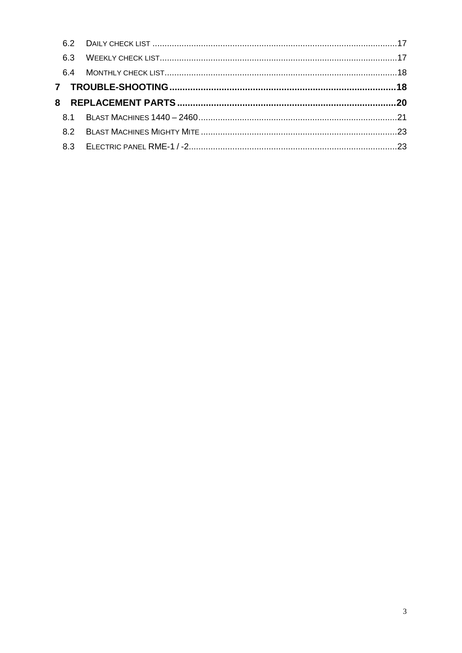| 6.3 |  |
|-----|--|
|     |  |
|     |  |
|     |  |
|     |  |
|     |  |
|     |  |
|     |  |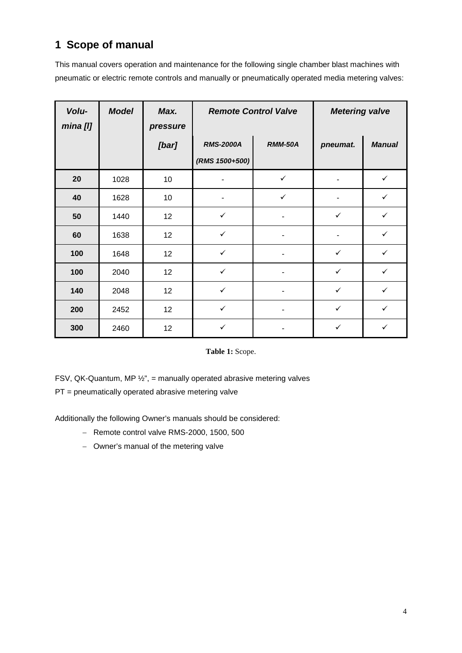# **1 Scope of manual**

This manual covers operation and maintenance for the following single chamber blast machines with pneumatic or electric remote controls and manually or pneumatically operated media metering valves:

| Volu-<br>mina [l] | <b>Model</b> | Max.<br>pressure | <b>Remote Control Valve</b> |                | <b>Metering valve</b> |               |
|-------------------|--------------|------------------|-----------------------------|----------------|-----------------------|---------------|
|                   |              | [bar]            | <b>RMS-2000A</b>            | <b>RMM-50A</b> | pneumat.              | <b>Manual</b> |
|                   |              |                  | (RMS 1500+500)              |                |                       |               |
| 20                | 1028         | 10               |                             | $\checkmark$   |                       | $\checkmark$  |
| 40                | 1628         | 10               |                             | $\checkmark$   |                       | $\checkmark$  |
| 50                | 1440         | 12               | $\checkmark$                |                | $\checkmark$          | $\checkmark$  |
| 60                | 1638         | 12               | $\checkmark$                |                |                       | $\checkmark$  |
| 100               | 1648         | 12               | $\checkmark$                | ٠              | $\checkmark$          | $\checkmark$  |
| 100               | 2040         | 12               | $\checkmark$                | ۰              | $\checkmark$          | $\checkmark$  |
| 140               | 2048         | 12               | $\checkmark$                |                | $\checkmark$          | $\checkmark$  |
| 200               | 2452         | 12               | $\checkmark$                |                | $\checkmark$          | $\checkmark$  |
| 300               | 2460         | 12               | $\checkmark$                |                | $\checkmark$          | ✓             |

**Table 1:** Scope.

FSV, QK-Quantum, MP  $\frac{1}{2}$ ", = manually operated abrasive metering valves

PT = pneumatically operated abrasive metering valve

Additionally the following Owner's manuals should be considered:

- − Remote control valve RMS-2000, 1500, 500
- − Owner's manual of the metering valve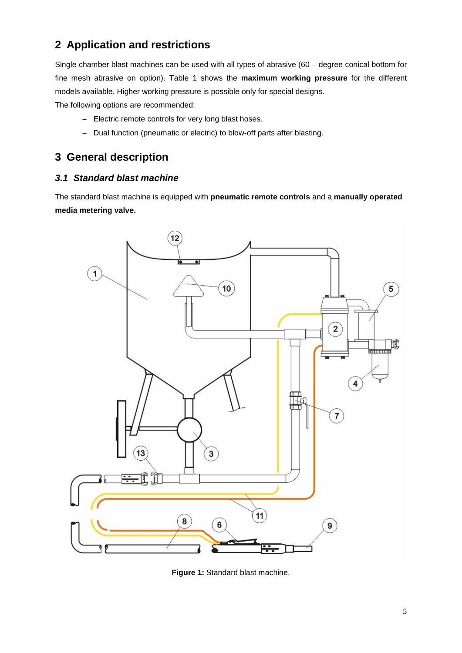# **2 Application and restrictions**

Single chamber blast machines can be used with all types of abrasive (60 – degree conical bottom for fine mesh abrasive on option). Table 1 shows the **maximum working pressure** for the different models available. Higher working pressure is possible only for special designs.

The following options are recommended:

- − Electric remote controls for very long blast hoses.
- − Dual function (pneumatic or electric) to blow-off parts after blasting.

## **3 General description**

#### *3.1 Standard blast machine*

The standard blast machine is equipped with **pneumatic remote controls** and a **manually operated media metering valve.** 



**Figure 1:** Standard blast machine.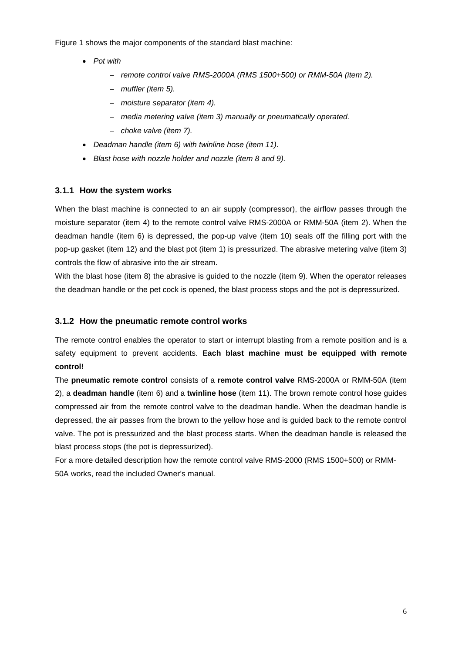Figure 1 shows the major components of the standard blast machine:

- *Pot with* 
	- − *remote control valve RMS-2000A (RMS 1500+500) or RMM-50A (item 2).*
	- − *muffler (item 5).*
	- − *moisture separator (item 4).*
	- − *media metering valve (item 3) manually or pneumatically operated.*
	- − *choke valve (item 7).*
- *Deadman handle (item 6) with twinline hose (item 11).*
- *Blast hose with nozzle holder and nozzle (item 8 and 9).*

#### **3.1.1 How the system works**

When the blast machine is connected to an air supply (compressor), the airflow passes through the moisture separator (item 4) to the remote control valve RMS-2000A or RMM-50A (item 2). When the deadman handle (item 6) is depressed, the pop-up valve (item 10) seals off the filling port with the pop-up gasket (item 12) and the blast pot (item 1) is pressurized. The abrasive metering valve (item 3) controls the flow of abrasive into the air stream.

With the blast hose (item 8) the abrasive is guided to the nozzle (item 9). When the operator releases the deadman handle or the pet cock is opened, the blast process stops and the pot is depressurized.

#### **3.1.2 How the pneumatic remote control works**

The remote control enables the operator to start or interrupt blasting from a remote position and is a safety equipment to prevent accidents. **Each blast machine must be equipped with remote control!**

The **pneumatic remote control** consists of a **remote control valve** RMS-2000A or RMM-50A (item 2), a **deadman handle** (item 6) and a **twinline hose** (item 11). The brown remote control hose guides compressed air from the remote control valve to the deadman handle. When the deadman handle is depressed, the air passes from the brown to the yellow hose and is guided back to the remote control valve. The pot is pressurized and the blast process starts. When the deadman handle is released the blast process stops (the pot is depressurized).

For a more detailed description how the remote control valve RMS-2000 (RMS 1500+500) or RMM-50A works, read the included Owner's manual.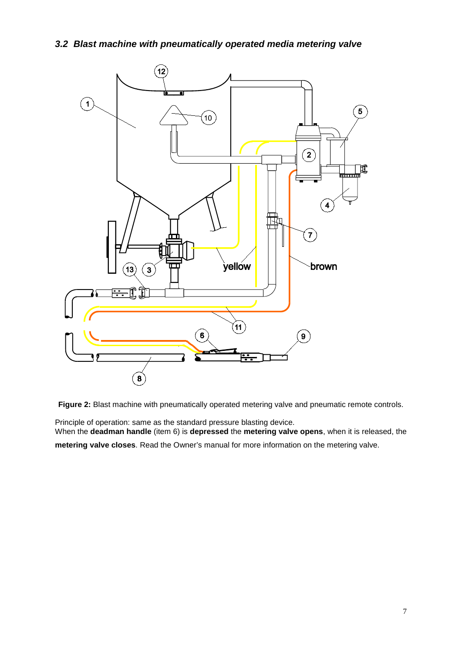*3.2 Blast machine with pneumatically operated media metering valve*



**Figure 2:** Blast machine with pneumatically operated metering valve and pneumatic remote controls.

Principle of operation: same as the standard pressure blasting device. When the **deadman handle** (item 6) is **depressed** the **metering valve opens**, when it is released, the **metering valve closes**. Read the Owner's manual for more information on the metering valve.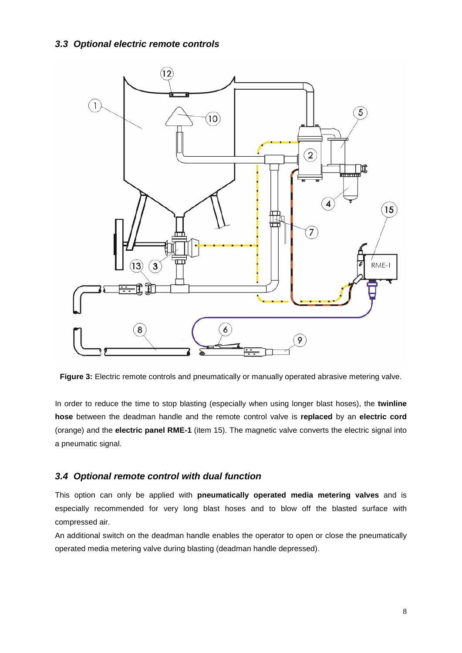

**Figure 3:** Electric remote controls and pneumatically or manually operated abrasive metering valve.

In order to reduce the time to stop blasting (especially when using longer blast hoses), the **twinline hose** between the deadman handle and the remote control valve is **replaced** by an **electric cord** (orange) and the **electric panel RME-1** (item 15). The magnetic valve converts the electric signal into a pneumatic signal.

#### *3.4 Optional remote control with dual function*

This option can only be applied with **pneumatically operated media metering valves** and is especially recommended for very long blast hoses and to blow off the blasted surface with compressed air.

An additional switch on the deadman handle enables the operator to open or close the pneumatically operated media metering valve during blasting (deadman handle depressed).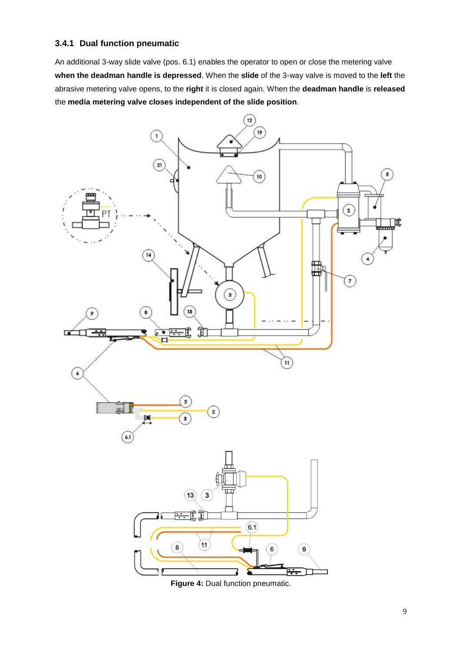#### **3.4.1 Dual function pneumatic**

An additional 3-way slide valve (pos. 6.1) enables the operator to open or close the metering valve **when the deadman handle is depressed**. When the **slide** of the 3-way valve is moved to the **left** the abrasive metering valve opens, to the **right** it is closed again. When the **deadman handle** is **released** the **media metering valve closes independent of the slide position**.



Figure 4: Dual function pneumatic.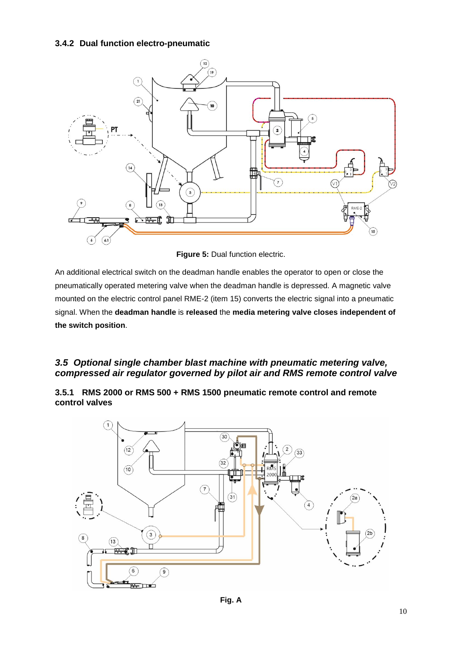#### **3.4.2 Dual function electro-pneumatic**



**Figure 5:** Dual function electric.

An additional electrical switch on the deadman handle enables the operator to open or close the pneumatically operated metering valve when the deadman handle is depressed. A magnetic valve mounted on the electric control panel RME-2 (item 15) converts the electric signal into a pneumatic signal. When the **deadman handle** is **released** the **media metering valve closes independent of the switch position**.

#### *3.5 Optional single chamber blast machine with pneumatic metering valve, compressed air regulator governed by pilot air and RMS remote control valve*

#### **3.5.1 RMS 2000 or RMS 500 + RMS 1500 pneumatic remote control and remote control valves**

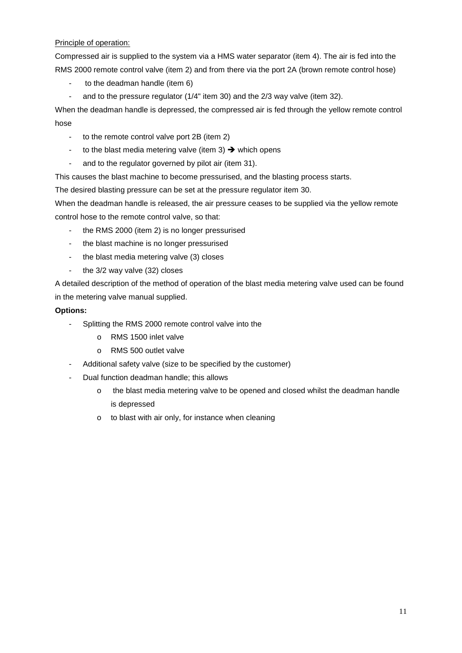#### Principle of operation:

Compressed air is supplied to the system via a HMS water separator (item 4). The air is fed into the RMS 2000 remote control valve (item 2) and from there via the port 2A (brown remote control hose)

- to the deadman handle (item 6)
- and to the pressure regulator (1/4" item 30) and the 2/3 way valve (item 32).

When the deadman handle is depressed, the compressed air is fed through the yellow remote control hose

- to the remote control valve port 2B (item 2)
- to the blast media metering valve (item 3)  $\rightarrow$  which opens
- and to the regulator governed by pilot air (item 31).

This causes the blast machine to become pressurised, and the blasting process starts.

The desired blasting pressure can be set at the pressure regulator item 30.

When the deadman handle is released, the air pressure ceases to be supplied via the yellow remote control hose to the remote control valve, so that:

- the RMS 2000 (item 2) is no longer pressurised
- the blast machine is no longer pressurised
- the blast media metering valve (3) closes
- the 3/2 way valve (32) closes

A detailed description of the method of operation of the blast media metering valve used can be found in the metering valve manual supplied.

#### **Options:**

- Splitting the RMS 2000 remote control valve into the
	- o RMS 1500 inlet valve
	- o RMS 500 outlet valve
- Additional safety valve (size to be specified by the customer)
- Dual function deadman handle; this allows
	- o the blast media metering valve to be opened and closed whilst the deadman handle is depressed
	- o to blast with air only, for instance when cleaning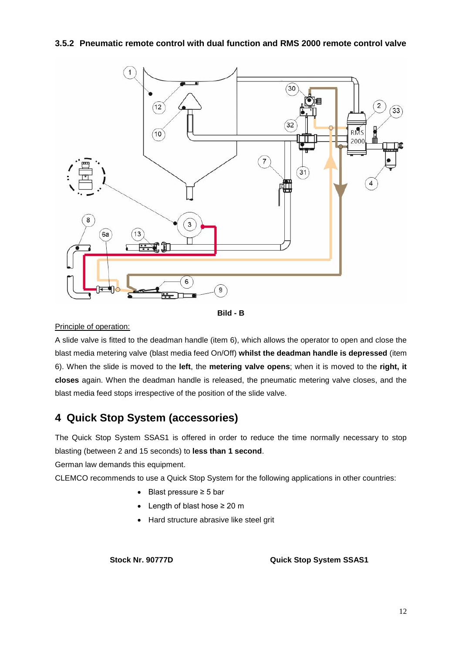#### **3.5.2 Pneumatic remote control with dual function and RMS 2000 remote control valve**





#### Principle of operation:

A slide valve is fitted to the deadman handle (item 6), which allows the operator to open and close the blast media metering valve (blast media feed On/Off) **whilst the deadman handle is depressed** (item 6). When the slide is moved to the **left**, the **metering valve opens**; when it is moved to the **right, it closes** again. When the deadman handle is released, the pneumatic metering valve closes, and the blast media feed stops irrespective of the position of the slide valve.

### **4 Quick Stop System (accessories)**

The Quick Stop System SSAS1 is offered in order to reduce the time normally necessary to stop blasting (between 2 and 15 seconds) to **less than 1 second**.

German law demands this equipment.

CLEMCO recommends to use a Quick Stop System for the following applications in other countries:

- Blast pressure ≥ 5 bar
- Length of blast hose ≥ 20 m
- Hard structure abrasive like steel grit

**Stock Nr. 90777D Quick Stop System SSAS1**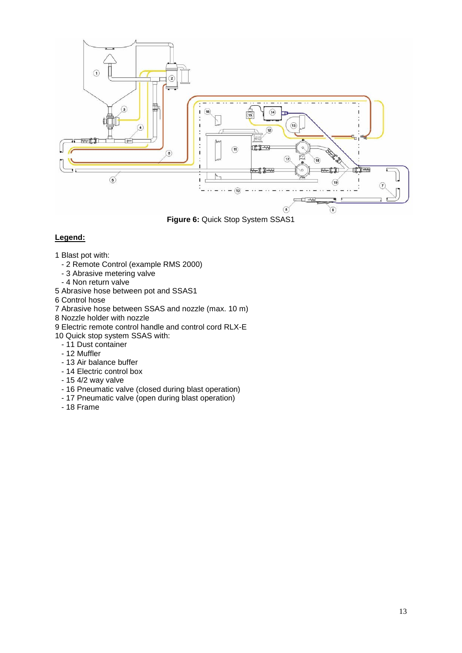

**Figure 6:** Quick Stop System SSAS1

#### **Legend:**

- 1 Blast pot with:
	- 2 Remote Control (example RMS 2000)
	- 3 Abrasive metering valve
	- 4 Non return valve
- 5 Abrasive hose between pot and SSAS1
- 6 Control hose
- 7 Abrasive hose between SSAS and nozzle (max. 10 m)
- 8 Nozzle holder with nozzle
- 9 Electric remote control handle and control cord RLX-E
- 10 Quick stop system SSAS with:
	- 11 Dust container
	- 12 Muffler
	- 13 Air balance buffer
	- 14 Electric control box
	- 15 4/2 way valve
	- 16 Pneumatic valve (closed during blast operation)
	- 17 Pneumatic valve (open during blast operation)
	- 18 Frame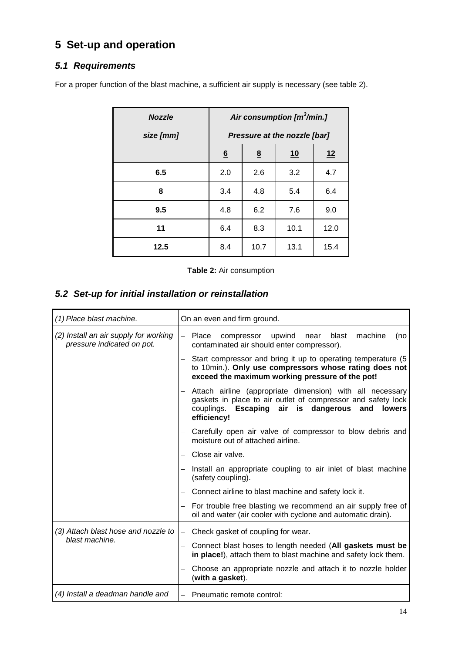# **5 Set-up and operation**

### *5.1 Requirements*

For a proper function of the blast machine, a sufficient air supply is necessary (see table 2).

| <b>Nozzle</b> | Air consumption [m3/min.] |      |                              |      |
|---------------|---------------------------|------|------------------------------|------|
| size [mm]     |                           |      | Pressure at the nozzle [bar] |      |
|               | $\underline{6}$           | 8    | 10                           | 12   |
| 6.5           | 2.0                       | 2.6  | 3.2                          | 4.7  |
| 8             | 3.4                       | 4.8  | 5.4                          | 6.4  |
| 9.5           | 4.8                       | 6.2  | 7.6                          | 9.0  |
| 11            | 6.4                       | 8.3  | 10.1                         | 12.0 |
| 12.5          | 8.4                       | 10.7 | 13.1                         | 15.4 |

**Table 2:** Air consumption

#### *5.2 Set-up for initial installation or reinstallation*

| (1) Place blast machine.                                            | On an even and firm ground.                                                                                                                                                                                 |
|---------------------------------------------------------------------|-------------------------------------------------------------------------------------------------------------------------------------------------------------------------------------------------------------|
| (2) Install an air supply for working<br>pressure indicated on pot. | Place<br>upwind<br>blast<br>machine<br>$\equiv$<br>compressor<br>(no<br>near<br>contaminated air should enter compressor).                                                                                  |
|                                                                     | Start compressor and bring it up to operating temperature (5)<br>to 10min.). Only use compressors whose rating does not<br>exceed the maximum working pressure of the pot!                                  |
|                                                                     | Attach airline (appropriate dimension) with all necessary<br>gaskets in place to air outlet of compressor and safety lock<br>couplings. Escaping<br>air is dangerous<br>and<br><b>lowers</b><br>efficiency! |
|                                                                     | Carefully open air valve of compressor to blow debris and<br>moisture out of attached airline.                                                                                                              |
|                                                                     | Close air valve.                                                                                                                                                                                            |
|                                                                     | Install an appropriate coupling to air inlet of blast machine<br>(safety coupling).                                                                                                                         |
|                                                                     | Connect airline to blast machine and safety lock it.                                                                                                                                                        |
|                                                                     | For trouble free blasting we recommend an air supply free of<br>oil and water (air cooler with cyclone and automatic drain).                                                                                |
| (3) Attach blast hose and nozzle to                                 | Check gasket of coupling for wear.<br>$\qquad \qquad -$                                                                                                                                                     |
| blast machine.                                                      | Connect blast hoses to length needed (All gaskets must be<br>in place!), attach them to blast machine and safety lock them.                                                                                 |
|                                                                     | Choose an appropriate nozzle and attach it to nozzle holder<br>(with a gasket).                                                                                                                             |
| (4) Install a deadman handle and                                    | Pneumatic remote control:<br>$\overline{\phantom{0}}$                                                                                                                                                       |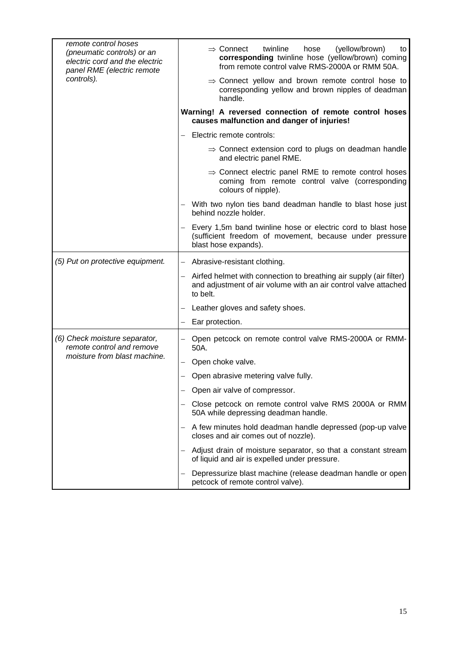| remote control hoses<br>(pneumatic controls) or an<br>electric cord and the electric<br>panel RME (electric remote | (yellow/brown)<br>twinline<br>$\Rightarrow$ Connect<br>hose<br>to<br>corresponding twinline hose (yellow/brown) coming<br>from remote control valve RMS-2000A or RMM 50A. |
|--------------------------------------------------------------------------------------------------------------------|---------------------------------------------------------------------------------------------------------------------------------------------------------------------------|
| controls).                                                                                                         | $\Rightarrow$ Connect yellow and brown remote control hose to<br>corresponding yellow and brown nipples of deadman<br>handle.                                             |
|                                                                                                                    | Warning! A reversed connection of remote control hoses<br>causes malfunction and danger of injuries!                                                                      |
|                                                                                                                    | Electric remote controls:                                                                                                                                                 |
|                                                                                                                    | $\Rightarrow$ Connect extension cord to plugs on deadman handle<br>and electric panel RME.                                                                                |
|                                                                                                                    | $\Rightarrow$ Connect electric panel RME to remote control hoses<br>coming from remote control valve (corresponding<br>colours of nipple).                                |
|                                                                                                                    | With two nylon ties band deadman handle to blast hose just<br>behind nozzle holder.                                                                                       |
|                                                                                                                    | Every 1,5m band twinline hose or electric cord to blast hose<br>(sufficient freedom of movement, because under pressure<br>blast hose expands).                           |
| (5) Put on protective equipment.                                                                                   | Abrasive-resistant clothing.                                                                                                                                              |
|                                                                                                                    | Airfed helmet with connection to breathing air supply (air filter)<br>and adjustment of air volume with an air control valve attached<br>to belt.                         |
|                                                                                                                    | Leather gloves and safety shoes.                                                                                                                                          |
|                                                                                                                    | Ear protection.                                                                                                                                                           |
| (6) Check moisture separator,<br>remote control and remove                                                         | Open petcock on remote control valve RMS-2000A or RMM-<br>50A.                                                                                                            |
| moisture from blast machine.                                                                                       | Open choke valve.                                                                                                                                                         |
|                                                                                                                    | Open abrasive metering valve fully.                                                                                                                                       |
|                                                                                                                    | Open air valve of compressor.                                                                                                                                             |
|                                                                                                                    | Close petcock on remote control valve RMS 2000A or RMM<br>50A while depressing deadman handle.                                                                            |
|                                                                                                                    | A few minutes hold deadman handle depressed (pop-up valve<br>closes and air comes out of nozzle).                                                                         |
|                                                                                                                    | Adjust drain of moisture separator, so that a constant stream<br>of liquid and air is expelled under pressure.                                                            |
|                                                                                                                    | Depressurize blast machine (release deadman handle or open<br>petcock of remote control valve).                                                                           |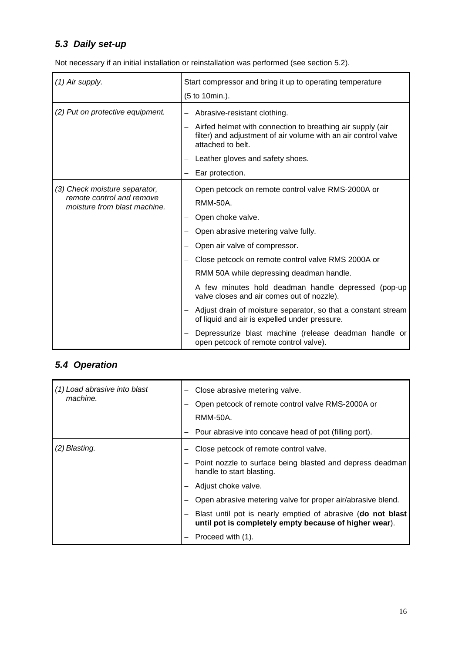# *5.3 Daily set-up*

Not necessary if an initial installation or reinstallation was performed (see section 5.2).

| (1) Air supply.                                           | Start compressor and bring it up to operating temperature<br>(5 to 10min.).                                                                       |
|-----------------------------------------------------------|---------------------------------------------------------------------------------------------------------------------------------------------------|
| (2) Put on protective equipment.                          | Abrasive-resistant clothing.                                                                                                                      |
|                                                           | Airfed helmet with connection to breathing air supply (air<br>filter) and adjustment of air volume with an air control valve<br>attached to belt. |
|                                                           | Leather gloves and safety shoes.                                                                                                                  |
|                                                           | Ear protection.                                                                                                                                   |
| (3) Check moisture separator,                             | Open petcock on remote control valve RMS-2000A or                                                                                                 |
| remote control and remove<br>moisture from blast machine. | <b>RMM-50A.</b>                                                                                                                                   |
|                                                           | Open choke valve.                                                                                                                                 |
|                                                           | Open abrasive metering valve fully.                                                                                                               |
|                                                           | Open air valve of compressor.                                                                                                                     |
|                                                           | Close petcock on remote control valve RMS 2000A or                                                                                                |
|                                                           | RMM 50A while depressing deadman handle.                                                                                                          |
|                                                           | A few minutes hold deadman handle depressed (pop-up<br>valve closes and air comes out of nozzle).                                                 |
|                                                           | Adjust drain of moisture separator, so that a constant stream<br>of liquid and air is expelled under pressure.                                    |
|                                                           | Depressurize blast machine (release deadman handle or<br>open petcock of remote control valve).                                                   |

# *5.4 Operation*

| (1) Load abrasive into blast<br>machine. | Close abrasive metering valve.<br>Open petcock of remote control valve RMS-2000A or<br><b>RMM-50A.</b><br>Pour abrasive into concave head of pot (filling port).                                          |
|------------------------------------------|-----------------------------------------------------------------------------------------------------------------------------------------------------------------------------------------------------------|
| (2) Blasting.                            | Close petcock of remote control valve.<br>Point nozzle to surface being blasted and depress deadman<br>handle to start blasting.<br>Adjust choke valve.                                                   |
|                                          | Open abrasive metering valve for proper air/abrasive blend.<br>Blast until pot is nearly emptied of abrasive (do not blast<br>until pot is completely empty because of higher wear).<br>Proceed with (1). |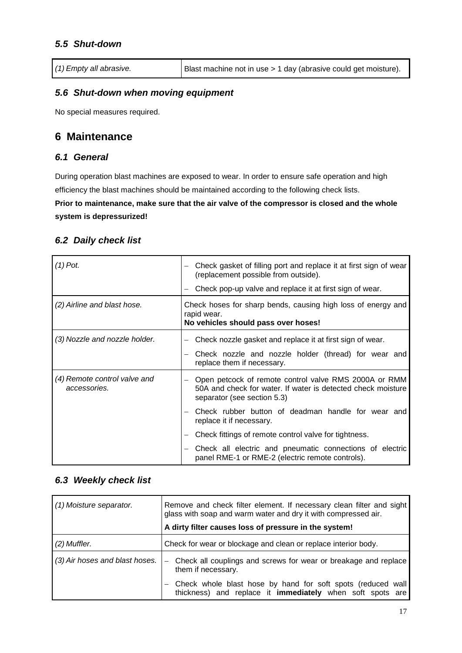#### *5.5 Shut-down*

*(1) Empty all abrasive.* Blast machine not in use > 1 day (abrasive could get moisture).

#### *5.6 Shut-down when moving equipment*

No special measures required.

#### **6 Maintenance**

#### *6.1 General*

During operation blast machines are exposed to wear. In order to ensure safe operation and high efficiency the blast machines should be maintained according to the following check lists.

**Prior to maintenance, make sure that the air valve of the compressor is closed and the whole system is depressurized!**

#### *6.2 Daily check list*

| $(1)$ Pot.                                   | Check gasket of filling port and replace it at first sign of wear<br>(replacement possible from outside).<br>Check pop-up valve and replace it at first sign of wear. |
|----------------------------------------------|-----------------------------------------------------------------------------------------------------------------------------------------------------------------------|
| (2) Airline and blast hose.                  | Check hoses for sharp bends, causing high loss of energy and<br>rapid wear.<br>No vehicles should pass over hoses!                                                    |
| (3) Nozzle and nozzle holder.                | Check nozzle gasket and replace it at first sign of wear.<br>Check nozzle and nozzle holder (thread) for wear and<br>replace them if necessary.                       |
| (4) Remote control valve and<br>accessories. | Open petcock of remote control valve RMS 2000A or RMM<br>50A and check for water. If water is detected check moisture<br>separator (see section 5.3)                  |
|                                              | Check rubber button of deadman handle for wear and<br>replace it if necessary.                                                                                        |
|                                              | Check fittings of remote control valve for tightness.                                                                                                                 |
|                                              | Check all electric and pneumatic connections of electric<br>panel RME-1 or RME-2 (electric remote controls).                                                          |

#### *6.3 Weekly check list*

| (1) Moisture separator.        | Remove and check filter element. If necessary clean filter and sight<br>glass with soap and warm water and dry it with compressed air.<br>A dirty filter causes loss of pressure in the system! |
|--------------------------------|-------------------------------------------------------------------------------------------------------------------------------------------------------------------------------------------------|
| $(2)$ Muffler.                 | Check for wear or blockage and clean or replace interior body.                                                                                                                                  |
| (3) Air hoses and blast hoses. | Check all couplings and screws for wear or breakage and replace<br>them if necessary.                                                                                                           |
|                                | Check whole blast hose by hand for soft spots (reduced wall<br>thickness) and replace it immediately when soft spots are                                                                        |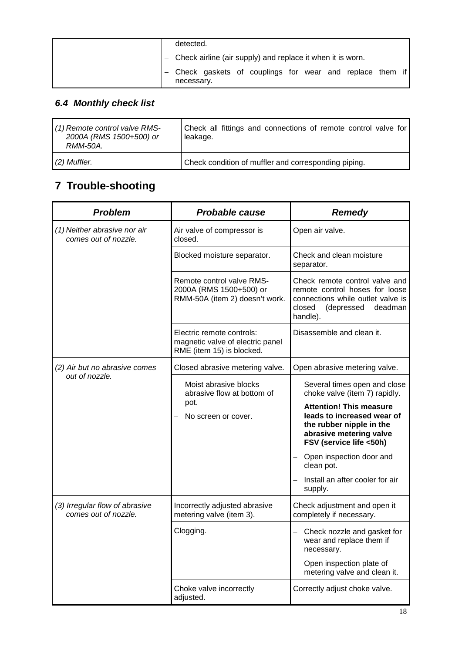|  | detected.                                                               |
|--|-------------------------------------------------------------------------|
|  | - Check airline (air supply) and replace it when it is worn.            |
|  | - Check gaskets of couplings for wear and replace them if<br>necessary. |

# *6.4 Monthly check list*

| (1) Remote control valve RMS-<br>2000A (RMS 1500+500) or<br><i>RMM-50A</i> | Check all fittings and connections of remote control valve for<br>leakage. |
|----------------------------------------------------------------------------|----------------------------------------------------------------------------|
| (2) Muffler.                                                               | Check condition of muffler and corresponding piping.                       |

# **7 Trouble-shooting**

| <b>Problem</b>                                       | <b>Probable cause</b>                                                                      | <b>Remedy</b>                                                                                                                                                                                                                                                                                |
|------------------------------------------------------|--------------------------------------------------------------------------------------------|----------------------------------------------------------------------------------------------------------------------------------------------------------------------------------------------------------------------------------------------------------------------------------------------|
| (1) Neither abrasive nor air<br>comes out of nozzle. | Air valve of compressor is<br>closed.                                                      | Open air valve.                                                                                                                                                                                                                                                                              |
|                                                      | Blocked moisture separator.                                                                | Check and clean moisture<br>separator.                                                                                                                                                                                                                                                       |
|                                                      | Remote control valve RMS-<br>2000A (RMS 1500+500) or<br>RMM-50A (item 2) doesn't work.     | Check remote control valve and<br>remote control hoses for loose<br>connections while outlet valve is<br>closed<br>(depressed deadman<br>handle).                                                                                                                                            |
|                                                      | Electric remote controls:<br>magnetic valve of electric panel<br>RME (item 15) is blocked. | Disassemble and clean it.                                                                                                                                                                                                                                                                    |
| (2) Air but no abrasive comes                        | Closed abrasive metering valve.                                                            | Open abrasive metering valve.                                                                                                                                                                                                                                                                |
| out of nozzle.                                       | Moist abrasive blocks<br>abrasive flow at bottom of<br>pot.<br>No screen or cover.         | Several times open and close<br>choke valve (item 7) rapidly.<br><b>Attention! This measure</b><br>leads to increased wear of<br>the rubber nipple in the<br>abrasive metering valve<br>FSV (service life <50h)<br>Open inspection door and<br>clean pot.<br>Install an after cooler for air |
| (3) Irregular flow of abrasive                       | Incorrectly adjusted abrasive                                                              | supply.<br>Check adjustment and open it                                                                                                                                                                                                                                                      |
| comes out of nozzle.                                 | metering valve (item 3).                                                                   | completely if necessary.                                                                                                                                                                                                                                                                     |
|                                                      | Clogging.                                                                                  | Check nozzle and gasket for<br>wear and replace them if<br>necessary.                                                                                                                                                                                                                        |
|                                                      |                                                                                            | Open inspection plate of<br>metering valve and clean it.                                                                                                                                                                                                                                     |
|                                                      | Choke valve incorrectly<br>adjusted.                                                       | Correctly adjust choke valve.                                                                                                                                                                                                                                                                |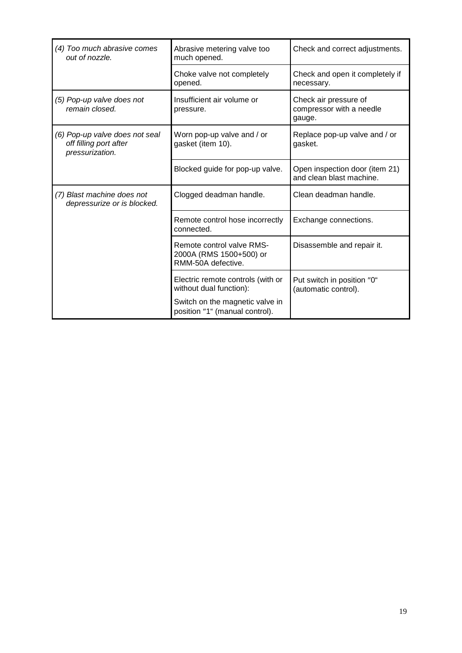| (4) Too much abrasive comes<br>out of nozzle.                               | Abrasive metering valve too<br>much opened.                                | Check and correct adjustments.                              |
|-----------------------------------------------------------------------------|----------------------------------------------------------------------------|-------------------------------------------------------------|
|                                                                             | Choke valve not completely<br>opened.                                      | Check and open it completely if<br>necessary.               |
| (5) Pop-up valve does not<br>remain closed.                                 | Insufficient air volume or<br>pressure.                                    | Check air pressure of<br>compressor with a needle<br>gauge. |
| (6) Pop-up valve does not seal<br>off filling port after<br>pressurization. | Worn pop-up valve and / or<br>gasket (item 10).                            | Replace pop-up valve and / or<br>gasket.                    |
|                                                                             | Blocked guide for pop-up valve.                                            | Open inspection door (item 21)<br>and clean blast machine.  |
| (7) Blast machine does not<br>depressurize or is blocked.                   | Clogged deadman handle.                                                    | Clean deadman handle.                                       |
|                                                                             | Remote control hose incorrectly<br>connected.                              | Exchange connections.                                       |
|                                                                             | Remote control valve RMS-<br>2000A (RMS 1500+500) or<br>RMM-50A defective. | Disassemble and repair it.                                  |
|                                                                             | Electric remote controls (with or<br>without dual function):               | Put switch in position "0"<br>(automatic control).          |
|                                                                             | Switch on the magnetic valve in<br>position "1" (manual control).          |                                                             |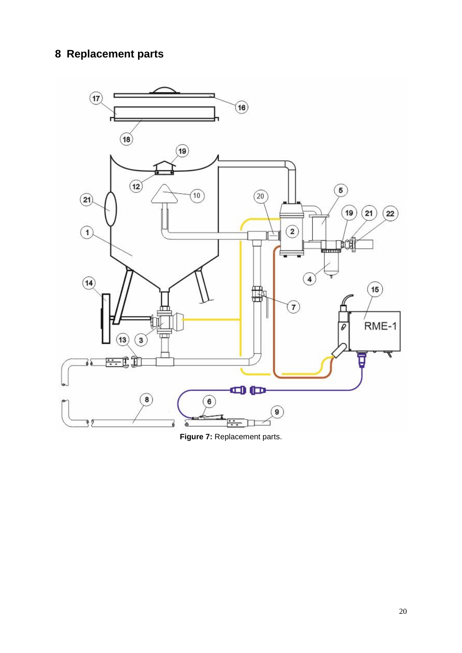# **Replacement parts**



Figure 7: Replacement parts.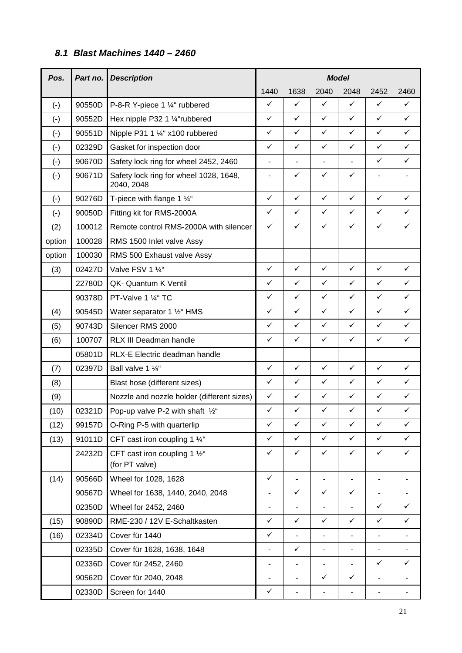### *8.1 Blast Machines 1440 – 2460*

| Pos.      | Part no.                                                              | <b>Description</b>                                                                                         | <b>Model</b>                                |                          |                |                          |                          |              |
|-----------|-----------------------------------------------------------------------|------------------------------------------------------------------------------------------------------------|---------------------------------------------|--------------------------|----------------|--------------------------|--------------------------|--------------|
|           |                                                                       |                                                                                                            | 1440                                        | 1638                     | 2040           | 2048                     | 2452                     | 2460         |
| $(\cdot)$ | 90550D                                                                | P-8-R Y-piece 1 1/4" rubbered                                                                              | ✓                                           | ✓                        | $\checkmark$   | $\checkmark$             | $\checkmark$             | ✓            |
| $(\cdot)$ | 90552D                                                                | Hex nipple P32 1 1/4"rubbered                                                                              | $\checkmark$                                | ✓                        | ✓              | $\checkmark$             | $\checkmark$             | ✓            |
| $(-)$     | 90551D                                                                | Nipple P31 1 1/4" x100 rubbered                                                                            | ✓                                           | ✓                        | ✓              | $\checkmark$             | ✓                        | ✓            |
| $(-)$     | 02329D                                                                | Gasket for inspection door                                                                                 | $\checkmark$                                | ✓                        | $\checkmark$   | $\checkmark$             | ✓                        | ✓            |
| $(-)$     | 90670D                                                                | Safety lock ring for wheel 2452, 2460                                                                      | $\qquad \qquad \blacksquare$                | $\overline{\phantom{a}}$ | ٠              | $\overline{\phantom{0}}$ | ✓                        | ✓            |
| $(\cdot)$ | 90671D                                                                | Safety lock ring for wheel 1028, 1648,<br>÷,<br>2040, 2048                                                 |                                             | ✓                        | $\checkmark$   | $\checkmark$             | $\overline{a}$           |              |
| $(-)$     | 90276D                                                                | T-piece with flange 1 $\frac{1}{4}$ "                                                                      | $\checkmark$                                | $\checkmark$             | $\checkmark$   | $\checkmark$             | ✓                        | ✓            |
| $(-)$     | 90050D                                                                | Fitting kit for RMS-2000A                                                                                  | $\checkmark$                                | $\checkmark$             | $\checkmark$   | $\checkmark$             | ✓                        | ✓            |
| (2)       | 100012                                                                | Remote control RMS-2000A with silencer                                                                     | $\checkmark$                                | $\checkmark$             | $\checkmark$   | $\checkmark$             | $\checkmark$             | $\checkmark$ |
| option    | 100028                                                                | RMS 1500 Inlet valve Assy                                                                                  |                                             |                          |                |                          |                          |              |
| option    | 100030                                                                | RMS 500 Exhaust valve Assy                                                                                 |                                             |                          |                |                          |                          |              |
| (3)       | 02427D                                                                | Valve FSV 1 1/4"                                                                                           | $\checkmark$                                | $\checkmark$             | $\checkmark$   | $\checkmark$             | $\checkmark$             | $\checkmark$ |
|           | 22780D                                                                | QK- Quantum K Ventil                                                                                       | $\checkmark$                                | $\checkmark$             | $\checkmark$   | $\checkmark$             | $\checkmark$             | ✓            |
|           | 90378D                                                                | $\checkmark$<br>$\checkmark$<br>$\checkmark$<br>✓<br>PT-Valve 1 1/4" TC                                    |                                             | $\checkmark$             | ✓              |                          |                          |              |
| (4)       | 90545D<br>Water separator 1 1/2" HMS                                  |                                                                                                            | $\checkmark$                                | ✓                        | $\checkmark$   | $\checkmark$             | $\checkmark$             | $\checkmark$ |
| (5)       | 90743D                                                                | Silencer RMS 2000                                                                                          |                                             | $\checkmark$             | $\checkmark$   | $\checkmark$             | $\checkmark$             | $\checkmark$ |
| (6)       | $\checkmark$<br>$\checkmark$<br>✓<br>100707<br>RLX III Deadman handle |                                                                                                            | $\checkmark$                                | $\checkmark$             | $\checkmark$   |                          |                          |              |
|           | 05801D                                                                | RLX-E Electric deadman handle                                                                              |                                             |                          |                |                          |                          |              |
| (7)       | 02397D                                                                | $\checkmark$<br>$\checkmark$<br>$\checkmark$<br>✓<br>Ball valve 1 1/4"                                     |                                             | $\checkmark$             | ✓              |                          |                          |              |
| (8)       |                                                                       | $\checkmark$<br>$\checkmark$<br>$\checkmark$<br>✓<br>Blast hose (different sizes)                          |                                             | $\checkmark$             | $\checkmark$   |                          |                          |              |
| (9)       |                                                                       | $\checkmark$<br>$\checkmark$<br>$\checkmark$<br>$\checkmark$<br>Nozzle and nozzle holder (different sizes) |                                             | $\checkmark$             | $\checkmark$   |                          |                          |              |
| (10)      | 02321D                                                                | Pop-up valve P-2 with shaft 1/2"                                                                           | $\checkmark$<br>✓<br>✓<br>$\checkmark$<br>✓ |                          |                | $\checkmark$             |                          |              |
| (12)      | 99157D                                                                | O-Ring P-5 with quarterlip                                                                                 | $\checkmark$                                | $\checkmark$             | $\checkmark$   | $\checkmark$             | $\checkmark$             | ✓            |
| (13)      | 91011D                                                                | CFT cast iron coupling 1 $\frac{1}{4}$ "                                                                   | ✓                                           | $\checkmark$             | $\checkmark$   | $\checkmark$             | $\checkmark$             | ✓            |
|           | 24232D                                                                | CFT cast iron coupling 1 $\frac{1}{2}$ "<br>(for PT valve)                                                 | ✓                                           | $\checkmark$             | ✓              | ✓                        | $\checkmark$             | ✓            |
| (14)      | 90566D                                                                | Wheel for 1028, 1628                                                                                       | $\checkmark$                                | ä,                       |                | $\overline{\phantom{0}}$ |                          |              |
|           | 90567D                                                                | Wheel for 1638, 1440, 2040, 2048                                                                           | ٠                                           | $\checkmark$             | $\checkmark$   | $\checkmark$             |                          |              |
|           | 02350D                                                                | Wheel for 2452, 2460                                                                                       | -                                           |                          |                | $\overline{\phantom{0}}$ | $\checkmark$             | ✓            |
| (15)      | 90890D                                                                | RME-230 / 12V E-Schaltkasten                                                                               | $\checkmark$                                | $\checkmark$             | $\checkmark$   | ✓                        | $\checkmark$             | $\checkmark$ |
| (16)      | 02334D                                                                | Cover für 1440                                                                                             | $\checkmark$                                |                          | L.             | $\overline{\phantom{a}}$ |                          |              |
|           | 02335D                                                                | Cover für 1628, 1638, 1648                                                                                 | $\overline{\phantom{0}}$                    | $\checkmark$             | $\blacksquare$ | $\overline{\phantom{0}}$ | $\overline{\phantom{a}}$ |              |
|           | 02336D                                                                | Cover für 2452, 2460                                                                                       | ÷                                           |                          |                | $\overline{\phantom{0}}$ | $\checkmark$             | ✓            |
|           | 90562D                                                                | Cover für 2040, 2048                                                                                       | ۰                                           |                          | ✓              | ✓                        |                          |              |
|           | 02330D                                                                | Screen for 1440                                                                                            | ✓                                           |                          |                |                          |                          |              |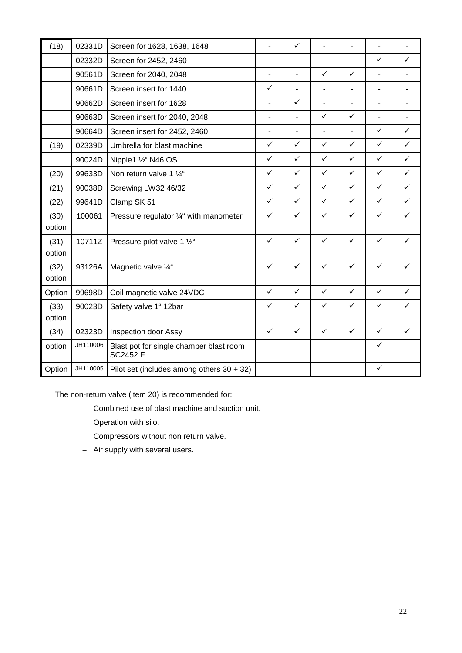| (18)           | 02331D   | Screen for 1628, 1638, 1648                                | ä,                       | $\checkmark$   |                          |                          |                |                          |
|----------------|----------|------------------------------------------------------------|--------------------------|----------------|--------------------------|--------------------------|----------------|--------------------------|
|                | 02332D   | Screen for 2452, 2460                                      | $\overline{\phantom{0}}$ | ٠              |                          | ä,                       | $\checkmark$   | ✓                        |
|                | 90561D   | Screen for 2040, 2048                                      | $\overline{\phantom{0}}$ | $\blacksquare$ | $\checkmark$             | $\checkmark$             | $\blacksquare$ | $\overline{\phantom{0}}$ |
|                | 90661D   | Screen insert for 1440                                     |                          | $\blacksquare$ | $\overline{\phantom{a}}$ | $\overline{\phantom{a}}$ | $\blacksquare$ | $\overline{\phantom{0}}$ |
|                | 90662D   | Screen insert for 1628                                     | ä,                       | $\checkmark$   | $\blacksquare$           | $\blacksquare$           | $\blacksquare$ | ۰                        |
|                | 90663D   | Screen insert for 2040, 2048                               | $\overline{\phantom{0}}$ | $\blacksquare$ | $\checkmark$             | $\checkmark$             | $\blacksquare$ |                          |
|                | 90664D   | Screen insert for 2452, 2460                               | ٠                        | $\blacksquare$ | L,                       | $\blacksquare$           | $\checkmark$   | ✓                        |
| (19)           | 02339D   | Umbrella for blast machine                                 | $\checkmark$             | $\checkmark$   | $\checkmark$             | $\checkmark$             | $\checkmark$   | $\checkmark$             |
|                | 90024D   | Nipple1 1/2" N46 OS                                        | $\checkmark$             | $\checkmark$   | $\checkmark$             | $\checkmark$             | $\checkmark$   | $\checkmark$             |
| (20)           | 99633D   | Non return valve 1 1/4"                                    | $\checkmark$             | $\checkmark$   | $\checkmark$             | $\checkmark$             | ✓              | $\checkmark$             |
| (21)           | 90038D   | Screwing LW32 46/32                                        | ✓                        | $\checkmark$   | $\checkmark$             | $\checkmark$             | ✓              | $\checkmark$             |
| (22)           | 99641D   | Clamp SK 51                                                | ✓                        | $\checkmark$   | $\checkmark$             | ✓                        | ✓              | ✓                        |
| (30)<br>option | 100061   | Pressure regulator 1/4" with manometer                     | $\checkmark$             | ✓              | $\checkmark$             | ✓                        | ✓              | $\checkmark$             |
| (31)<br>option | 10711Z   | Pressure pilot valve 1 1/2"                                | $\checkmark$             | $\checkmark$   | $\checkmark$             | $\checkmark$             | ✓              | ✓                        |
| (32)<br>option | 93126A   | Magnetic valve 1/4"                                        | ✓                        | $\checkmark$   | $\checkmark$             | $\checkmark$             | $\checkmark$   | $\checkmark$             |
| Option         | 99698D   | Coil magnetic valve 24VDC                                  | $\checkmark$             | $\checkmark$   | $\checkmark$             | $\checkmark$             | $\checkmark$   | $\checkmark$             |
| (33)<br>option | 90023D   | Safety valve 1" 12bar                                      | ✓                        | ✓              | ✓                        | ✓                        | ✓              | ✓                        |
| (34)           | 02323D   | Inspection door Assy                                       | $\checkmark$             | $\checkmark$   | $\checkmark$             | $\checkmark$             | $\checkmark$   | $\checkmark$             |
| option         | JH110006 | Blast pot for single chamber blast room<br><b>SC2452 F</b> |                          |                |                          |                          | ✓              |                          |
| Option         | JH110005 | Pilot set (includes among others $30 + 32$ )               |                          |                |                          |                          | ✓              |                          |

The non-return valve (item 20) is recommended for:

- − Combined use of blast machine and suction unit.
- − Operation with silo.
- − Compressors without non return valve.
- − Air supply with several users.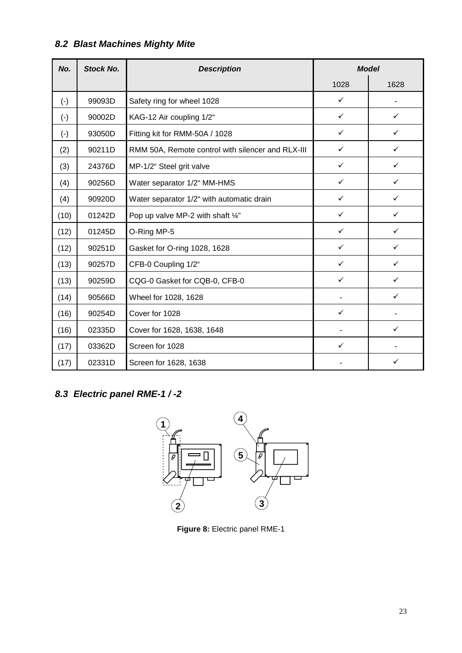# *8.2 Blast Machines Mighty Mite*

| No.       | <b>Stock No.</b> | <b>Model</b><br><b>Description</b>                |              |              |
|-----------|------------------|---------------------------------------------------|--------------|--------------|
|           |                  |                                                   | 1028         | 1628         |
| $(\cdot)$ | 99093D           | Safety ring for wheel 1028                        | $\checkmark$ |              |
| $(\cdot)$ | 90002D           | KAG-12 Air coupling 1/2"                          | $\checkmark$ | $\checkmark$ |
| $(-)$     | 93050D           | Fitting kit for RMM-50A / 1028                    | $\checkmark$ | ✓            |
| (2)       | 90211D           | RMM 50A, Remote control with silencer and RLX-III | $\checkmark$ | ✓            |
| (3)       | 24376D           | MP-1/2" Steel grit valve                          | $\checkmark$ | ✓            |
| (4)       | 90256D           | Water separator 1/2" MM-HMS                       | $\checkmark$ | ✓            |
| (4)       | 90920D           | Water separator 1/2" with automatic drain         | $\checkmark$ | ✓            |
| (10)      | 01242D           | Pop up valve MP-2 with shaft $\frac{1}{4}$ "      | ✓            | ✓            |
| (12)      | 01245D           | O-Ring MP-5                                       | $\checkmark$ | ✓            |
| (12)      | 90251D           | Gasket for O-ring 1028, 1628                      | ✓            | ✓            |
| (13)      | 90257D           | CFB-0 Coupling 1/2"                               | ✓            | ✓            |
| (13)      | 90259D           | CQG-0 Gasket for CQB-0, CFB-0                     | $\checkmark$ | ✓            |
| (14)      | 90566D           | Wheel for 1028, 1628                              |              | ✓            |
| (16)      | 90254D           | Cover for 1028                                    | $\checkmark$ |              |
| (16)      | 02335D           | Cover for 1628, 1638, 1648                        |              | ✓            |
| (17)      | 03362D           | Screen for 1028                                   | $\checkmark$ |              |
| (17)      | 02331D           | Screen for 1628, 1638                             |              |              |

# *8.3 Electric panel RME-1 / -2*



**Figure 8:** Electric panel RME-1